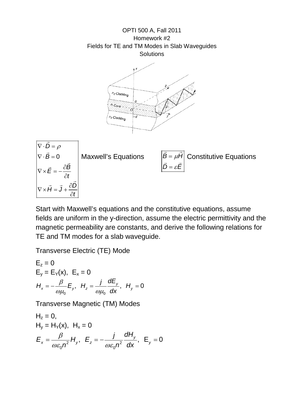OPTI 500 A, Fall 2011 Homework #2 Fields for TE and TM Modes in Slab Waveguides **Solutions** 





Start with Maxwell's equations and the constitutive equations, assume fields are uniform in the y-direction, assume the electric permittivity and the magnetic permeability are constants, and derive the following relations for TE and TM modes for a slab waveguide.

Transverse Electric (TE) Mode

$$
E_z = 0
$$
  
\n
$$
E_y = E_Y(x), E_x = 0
$$
  
\n
$$
H_x = -\frac{\beta}{\omega \mu_0} E_y, H_z = \frac{j}{\omega \mu_0} \frac{dE_y}{dx}, H_y = 0
$$

Transverse Magnetic (TM) Modes

$$
H_z = 0,
$$
  
\n
$$
H_y = H_Y(x), H_x = 0
$$
  
\n
$$
E_x = \frac{\beta}{\omega \varepsilon_0 n^2} H_y, E_z = -\frac{j}{\omega \varepsilon_0 n^2} \frac{dH_y}{dx}, E_y = 0
$$